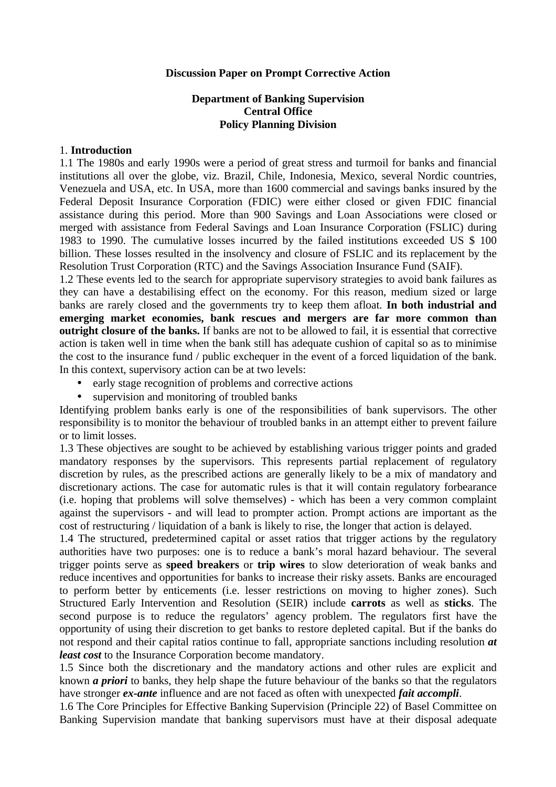#### **Discussion Paper on Prompt Corrective Action**

#### **Department of Banking Supervision Central Office Policy Planning Division**

#### 1. **Introduction**

1.1 The 1980s and early 1990s were a period of great stress and turmoil for banks and financial institutions all over the globe, viz. Brazil, Chile, Indonesia, Mexico, several Nordic countries, Venezuela and USA, etc. In USA, more than 1600 commercial and savings banks insured by the Federal Deposit Insurance Corporation (FDIC) were either closed or given FDIC financial assistance during this period. More than 900 Savings and Loan Associations were closed or merged with assistance from Federal Savings and Loan Insurance Corporation (FSLIC) during 1983 to 1990. The cumulative losses incurred by the failed institutions exceeded US \$ 100 billion. These losses resulted in the insolvency and closure of FSLIC and its replacement by the Resolution Trust Corporation (RTC) and the Savings Association Insurance Fund (SAIF).

1.2 These events led to the search for appropriate supervisory strategies to avoid bank failures as they can have a destabilising effect on the economy. For this reason, medium sized or large banks are rarely closed and the governments try to keep them afloat. **In both industrial and emerging market economies, bank rescues and mergers are far more common than outright closure of the banks.** If banks are not to be allowed to fail, it is essential that corrective action is taken well in time when the bank still has adequate cushion of capital so as to minimise the cost to the insurance fund / public exchequer in the event of a forced liquidation of the bank. In this context, supervisory action can be at two levels:

- early stage recognition of problems and corrective actions
- supervision and monitoring of troubled banks

Identifying problem banks early is one of the responsibilities of bank supervisors. The other responsibility is to monitor the behaviour of troubled banks in an attempt either to prevent failure or to limit losses.

1.3 These objectives are sought to be achieved by establishing various trigger points and graded mandatory responses by the supervisors. This represents partial replacement of regulatory discretion by rules, as the prescribed actions are generally likely to be a mix of mandatory and discretionary actions. The case for automatic rules is that it will contain regulatory forbearance (i.e. hoping that problems will solve themselves) - which has been a very common complaint against the supervisors - and will lead to prompter action. Prompt actions are important as the cost of restructuring / liquidation of a bank is likely to rise, the longer that action is delayed.

1.4 The structured, predetermined capital or asset ratios that trigger actions by the regulatory authorities have two purposes: one is to reduce a bank's moral hazard behaviour. The several trigger points serve as **speed breakers** or **trip wires** to slow deterioration of weak banks and reduce incentives and opportunities for banks to increase their risky assets. Banks are encouraged to perform better by enticements (i.e. lesser restrictions on moving to higher zones). Such Structured Early Intervention and Resolution (SEIR) include **carrots** as well as **sticks**. The second purpose is to reduce the regulators' agency problem. The regulators first have the opportunity of using their discretion to get banks to restore depleted capital. But if the banks do not respond and their capital ratios continue to fall, appropriate sanctions including resolution *at least cost* to the Insurance Corporation become mandatory.

1.5 Since both the discretionary and the mandatory actions and other rules are explicit and known *a priori* to banks, they help shape the future behaviour of the banks so that the regulators have stronger *ex-ante* influence and are not faced as often with unexpected *fait accompli*.

1.6 The Core Principles for Effective Banking Supervision (Principle 22) of Basel Committee on Banking Supervision mandate that banking supervisors must have at their disposal adequate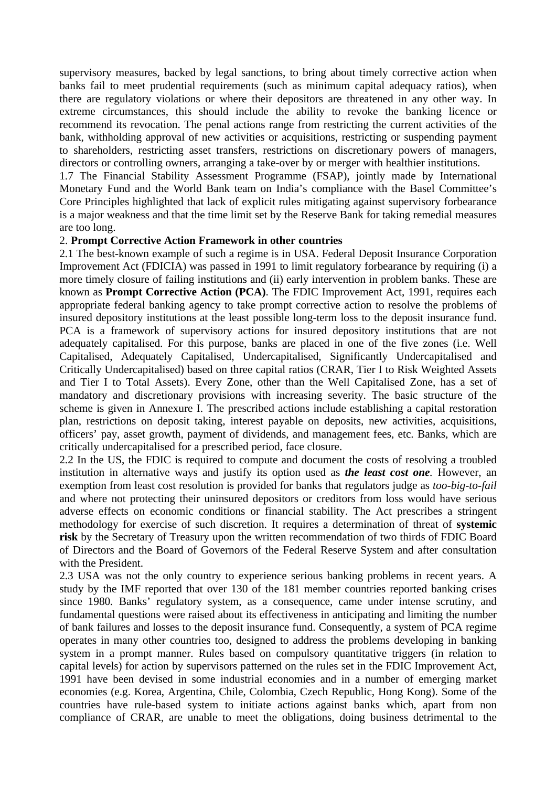supervisory measures, backed by legal sanctions, to bring about timely corrective action when banks fail to meet prudential requirements (such as minimum capital adequacy ratios), when there are regulatory violations or where their depositors are threatened in any other way. In extreme circumstances, this should include the ability to revoke the banking licence or recommend its revocation. The penal actions range from restricting the current activities of the bank, withholding approval of new activities or acquisitions, restricting or suspending payment to shareholders, restricting asset transfers, restrictions on discretionary powers of managers, directors or controlling owners, arranging a take-over by or merger with healthier institutions.

1.7 The Financial Stability Assessment Programme (FSAP), jointly made by International Monetary Fund and the World Bank team on India's compliance with the Basel Committee's Core Principles highlighted that lack of explicit rules mitigating against supervisory forbearance is a major weakness and that the time limit set by the Reserve Bank for taking remedial measures are too long.

#### 2. **Prompt Corrective Action Framework in other countries**

2.1 The best-known example of such a regime is in USA. Federal Deposit Insurance Corporation Improvement Act (FDICIA) was passed in 1991 to limit regulatory forbearance by requiring (i) a more timely closure of failing institutions and (ii) early intervention in problem banks. These are known as **Prompt Corrective Action (PCA)**. The FDIC Improvement Act, 1991, requires each appropriate federal banking agency to take prompt corrective action to resolve the problems of insured depository institutions at the least possible long-term loss to the deposit insurance fund. PCA is a framework of supervisory actions for insured depository institutions that are not adequately capitalised. For this purpose, banks are placed in one of the five zones (i.e. Well Capitalised, Adequately Capitalised, Undercapitalised, Significantly Undercapitalised and Critically Undercapitalised) based on three capital ratios (CRAR, Tier I to Risk Weighted Assets and Tier I to Total Assets). Every Zone, other than the Well Capitalised Zone, has a set of mandatory and discretionary provisions with increasing severity. The basic structure of the scheme is given in Annexure I. The prescribed actions include establishing a capital restoration plan, restrictions on deposit taking, interest payable on deposits, new activities, acquisitions, officers' pay, asset growth, payment of dividends, and management fees, etc. Banks, which are critically undercapitalised for a prescribed period, face closure.

2.2 In the US, the FDIC is required to compute and document the costs of resolving a troubled institution in alternative ways and justify its option used as *the least cost one.* However, an exemption from least cost resolution is provided for banks that regulators judge as *too-big-to-fail* and where not protecting their uninsured depositors or creditors from loss would have serious adverse effects on economic conditions or financial stability. The Act prescribes a stringent methodology for exercise of such discretion. It requires a determination of threat of **systemic risk** by the Secretary of Treasury upon the written recommendation of two thirds of FDIC Board of Directors and the Board of Governors of the Federal Reserve System and after consultation with the President.

2.3 USA was not the only country to experience serious banking problems in recent years. A study by the IMF reported that over 130 of the 181 member countries reported banking crises since 1980*.* Banks' regulatory system, as a consequence, came under intense scrutiny, and fundamental questions were raised about its effectiveness in anticipating and limiting the number of bank failures and losses to the deposit insurance fund. Consequently, a system of PCA regime operates in many other countries too, designed to address the problems developing in banking system in a prompt manner. Rules based on compulsory quantitative triggers (in relation to capital levels) for action by supervisors patterned on the rules set in the FDIC Improvement Act, 1991 have been devised in some industrial economies and in a number of emerging market economies (e.g. Korea, Argentina, Chile, Colombia, Czech Republic, Hong Kong). Some of the countries have rule-based system to initiate actions against banks which, apart from non compliance of CRAR, are unable to meet the obligations, doing business detrimental to the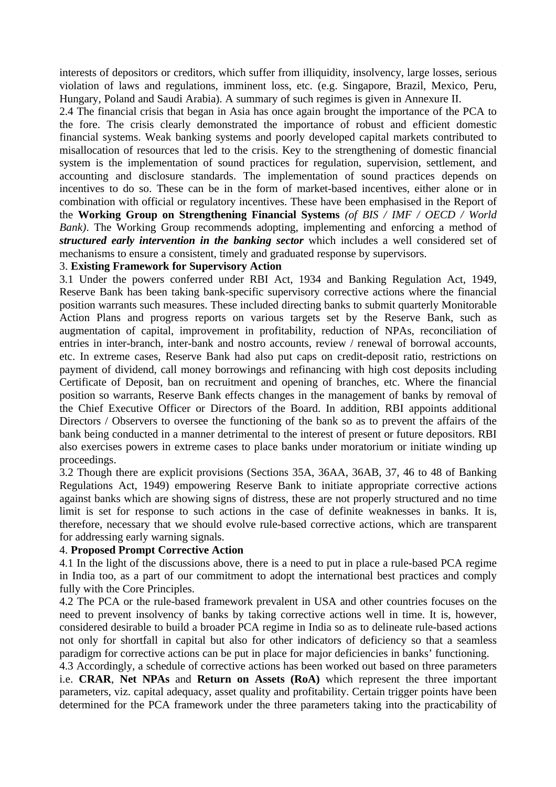interests of depositors or creditors, which suffer from illiquidity, insolvency, large losses, serious violation of laws and regulations, imminent loss, etc. (e.g. Singapore, Brazil, Mexico, Peru, Hungary, Poland and Saudi Arabia). A summary of such regimes is given in Annexure II.

2.4 The financial crisis that began in Asia has once again brought the importance of the PCA to the fore. The crisis clearly demonstrated the importance of robust and efficient domestic financial systems. Weak banking systems and poorly developed capital markets contributed to misallocation of resources that led to the crisis. Key to the strengthening of domestic financial system is the implementation of sound practices for regulation, supervision, settlement, and accounting and disclosure standards. The implementation of sound practices depends on incentives to do so. These can be in the form of market-based incentives, either alone or in combination with official or regulatory incentives. These have been emphasised in the Report of the **Working Group on Strengthening Financial Systems** *(of BIS / IMF / OECD / World Bank)*. The Working Group recommends adopting, implementing and enforcing a method of *structured early intervention in the banking sector* which includes a well considered set of mechanisms to ensure a consistent, timely and graduated response by supervisors.

### 3. **Existing Framework for Supervisory Action**

3.1 Under the powers conferred under RBI Act, 1934 and Banking Regulation Act, 1949, Reserve Bank has been taking bank-specific supervisory corrective actions where the financial position warrants such measures. These included directing banks to submit quarterly Monitorable Action Plans and progress reports on various targets set by the Reserve Bank, such as augmentation of capital, improvement in profitability, reduction of NPAs, reconciliation of entries in inter-branch, inter-bank and nostro accounts, review / renewal of borrowal accounts, etc. In extreme cases, Reserve Bank had also put caps on credit-deposit ratio, restrictions on payment of dividend, call money borrowings and refinancing with high cost deposits including Certificate of Deposit, ban on recruitment and opening of branches, etc. Where the financial position so warrants, Reserve Bank effects changes in the management of banks by removal of the Chief Executive Officer or Directors of the Board. In addition, RBI appoints additional Directors / Observers to oversee the functioning of the bank so as to prevent the affairs of the bank being conducted in a manner detrimental to the interest of present or future depositors. RBI also exercises powers in extreme cases to place banks under moratorium or initiate winding up proceedings.

3.2 Though there are explicit provisions (Sections 35A, 36AA, 36AB, 37, 46 to 48 of Banking Regulations Act, 1949) empowering Reserve Bank to initiate appropriate corrective actions against banks which are showing signs of distress, these are not properly structured and no time limit is set for response to such actions in the case of definite weaknesses in banks. It is, therefore, necessary that we should evolve rule-based corrective actions, which are transparent for addressing early warning signals.

#### 4. **Proposed Prompt Corrective Action**

4.1 In the light of the discussions above, there is a need to put in place a rule-based PCA regime in India too, as a part of our commitment to adopt the international best practices and comply fully with the Core Principles.

4.2 The PCA or the rule-based framework prevalent in USA and other countries focuses on the need to prevent insolvency of banks by taking corrective actions well in time. It is, however, considered desirable to build a broader PCA regime in India so as to delineate rule-based actions not only for shortfall in capital but also for other indicators of deficiency so that a seamless paradigm for corrective actions can be put in place for major deficiencies in banks' functioning.

4.3 Accordingly, a schedule of corrective actions has been worked out based on three parameters i.e. **CRAR**, **Net NPAs** and **Return on Assets (RoA)** which represent the three important parameters, viz. capital adequacy, asset quality and profitability. Certain trigger points have been determined for the PCA framework under the three parameters taking into the practicability of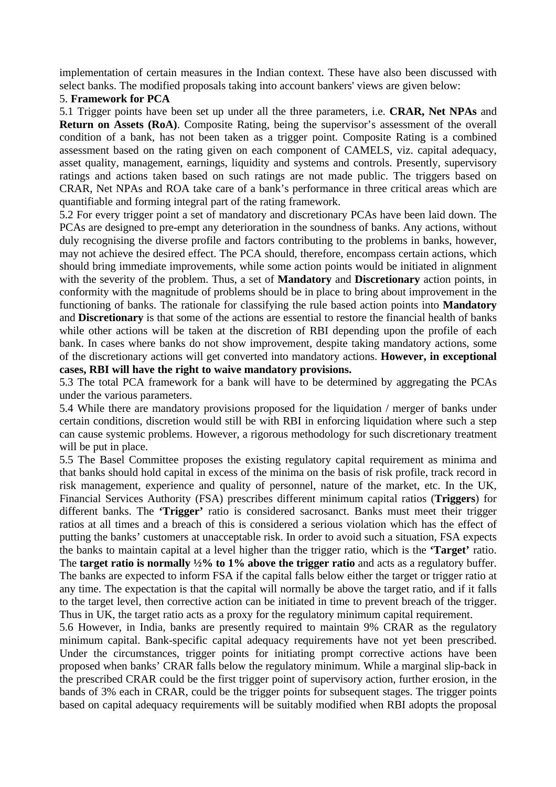implementation of certain measures in the Indian context. These have also been discussed with select banks. The modified proposals taking into account bankers' views are given below:

#### 5. **Framework for PCA**

5.1 Trigger points have been set up under all the three parameters, i.e. **CRAR, Net NPAs** and **Return on Assets (RoA)**. Composite Rating, being the supervisor's assessment of the overall condition of a bank, has not been taken as a trigger point. Composite Rating is a combined assessment based on the rating given on each component of CAMELS, viz. capital adequacy, asset quality, management, earnings, liquidity and systems and controls. Presently, supervisory ratings and actions taken based on such ratings are not made public. The triggers based on CRAR, Net NPAs and ROA take care of a bank's performance in three critical areas which are quantifiable and forming integral part of the rating framework.

5.2 For every trigger point a set of mandatory and discretionary PCAs have been laid down. The PCAs are designed to pre-empt any deterioration in the soundness of banks. Any actions, without duly recognising the diverse profile and factors contributing to the problems in banks, however, may not achieve the desired effect. The PCA should, therefore, encompass certain actions, which should bring immediate improvements, while some action points would be initiated in alignment with the severity of the problem. Thus, a set of **Mandatory** and **Discretionary** action points, in conformity with the magnitude of problems should be in place to bring about improvement in the functioning of banks. The rationale for classifying the rule based action points into **Mandatory** and **Discretionary** is that some of the actions are essential to restore the financial health of banks while other actions will be taken at the discretion of RBI depending upon the profile of each bank. In cases where banks do not show improvement, despite taking mandatory actions, some of the discretionary actions will get converted into mandatory actions. **However, in exceptional cases, RBI will have the right to waive mandatory provisions.**

5.3 The total PCA framework for a bank will have to be determined by aggregating the PCAs under the various parameters.

5.4 While there are mandatory provisions proposed for the liquidation / merger of banks under certain conditions, discretion would still be with RBI in enforcing liquidation where such a step can cause systemic problems. However, a rigorous methodology for such discretionary treatment will be put in place.

5.5 The Basel Committee proposes the existing regulatory capital requirement as minima and that banks should hold capital in excess of the minima on the basis of risk profile, track record in risk management, experience and quality of personnel, nature of the market, etc. In the UK, Financial Services Authority (FSA) prescribes different minimum capital ratios (**Triggers**) for different banks. The **'Trigger'** ratio is considered sacrosanct. Banks must meet their trigger ratios at all times and a breach of this is considered a serious violation which has the effect of putting the banks' customers at unacceptable risk. In order to avoid such a situation, FSA expects the banks to maintain capital at a level higher than the trigger ratio, which is the **'Target'** ratio. The **target ratio is normally ½% to 1% above the trigger ratio** and acts as a regulatory buffer. The banks are expected to inform FSA if the capital falls below either the target or trigger ratio at any time. The expectation is that the capital will normally be above the target ratio, and if it falls to the target level, then corrective action can be initiated in time to prevent breach of the trigger. Thus in UK, the target ratio acts as a proxy for the regulatory minimum capital requirement.

5.6 However, in India, banks are presently required to maintain 9% CRAR as the regulatory minimum capital. Bank-specific capital adequacy requirements have not yet been prescribed. Under the circumstances, trigger points for initiating prompt corrective actions have been proposed when banks' CRAR falls below the regulatory minimum. While a marginal slip-back in the prescribed CRAR could be the first trigger point of supervisory action, further erosion, in the bands of 3% each in CRAR, could be the trigger points for subsequent stages. The trigger points based on capital adequacy requirements will be suitably modified when RBI adopts the proposal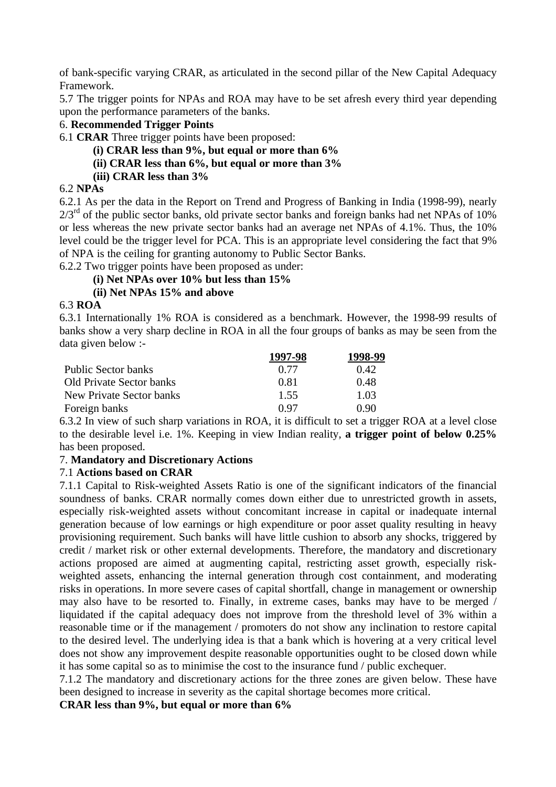of bank-specific varying CRAR, as articulated in the second pillar of the New Capital Adequacy Framework.

5.7 The trigger points for NPAs and ROA may have to be set afresh every third year depending upon the performance parameters of the banks.

#### 6. **Recommended Trigger Points**

6.1 **CRAR** Three trigger points have been proposed:

- **(i) CRAR less than 9%, but equal or more than 6%**
- **(ii) CRAR less than 6%, but equal or more than 3%**
- **(iii) CRAR less than 3%**

# 6.2 **NPAs**

6.2.1 As per the data in the Report on Trend and Progress of Banking in India (1998-99), nearly  $2/3<sup>rd</sup>$  of the public sector banks, old private sector banks and foreign banks had net NPAs of 10% or less whereas the new private sector banks had an average net NPAs of 4.1%. Thus, the 10% level could be the trigger level for PCA. This is an appropriate level considering the fact that 9% of NPA is the ceiling for granting autonomy to Public Sector Banks.

6.2.2 Two trigger points have been proposed as under:

## **(i) Net NPAs over 10% but less than 15%**

## **(ii) Net NPAs 15% and above**

### 6.3 **ROA**

6.3.1 Internationally 1% ROA is considered as a benchmark. However, the 1998-99 results of banks show a very sharp decline in ROA in all the four groups of banks as may be seen from the data given below :-

|                          | 1997-98     | 1998-99 |
|--------------------------|-------------|---------|
| Public Sector banks      | 0.77        | 0.42.   |
| Old Private Sector banks | 0.81        | 0.48    |
| New Private Sector banks | 1.55        | 1.03    |
| Foreign banks            | <u>በ 97</u> | 0.90    |

6.3.2 In view of such sharp variations in ROA, it is difficult to set a trigger ROA at a level close to the desirable level i.e. 1%. Keeping in view Indian reality, **a trigger point of below 0.25%** has been proposed.

## 7. **Mandatory and Discretionary Actions**

## 7.1 **Actions based on CRAR**

7.1.1 Capital to Risk-weighted Assets Ratio is one of the significant indicators of the financial soundness of banks. CRAR normally comes down either due to unrestricted growth in assets, especially risk-weighted assets without concomitant increase in capital or inadequate internal generation because of low earnings or high expenditure or poor asset quality resulting in heavy provisioning requirement. Such banks will have little cushion to absorb any shocks, triggered by credit / market risk or other external developments. Therefore, the mandatory and discretionary actions proposed are aimed at augmenting capital, restricting asset growth, especially riskweighted assets, enhancing the internal generation through cost containment, and moderating risks in operations. In more severe cases of capital shortfall, change in management or ownership may also have to be resorted to. Finally, in extreme cases, banks may have to be merged / liquidated if the capital adequacy does not improve from the threshold level of 3% within a reasonable time or if the management / promoters do not show any inclination to restore capital to the desired level. The underlying idea is that a bank which is hovering at a very critical level does not show any improvement despite reasonable opportunities ought to be closed down while it has some capital so as to minimise the cost to the insurance fund / public exchequer.

7.1.2 The mandatory and discretionary actions for the three zones are given below. These have been designed to increase in severity as the capital shortage becomes more critical.

**CRAR less than 9%, but equal or more than 6%**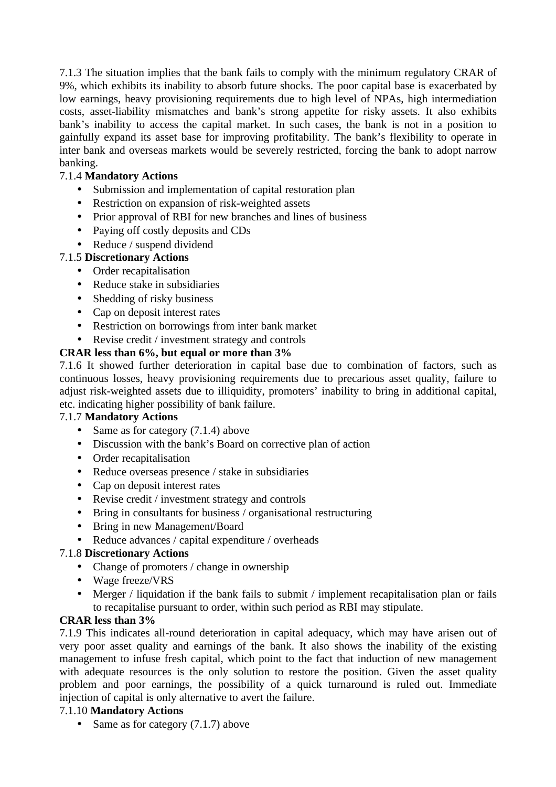7.1.3 The situation implies that the bank fails to comply with the minimum regulatory CRAR of 9%, which exhibits its inability to absorb future shocks. The poor capital base is exacerbated by low earnings, heavy provisioning requirements due to high level of NPAs, high intermediation costs, asset-liability mismatches and bank's strong appetite for risky assets. It also exhibits bank's inability to access the capital market. In such cases, the bank is not in a position to gainfully expand its asset base for improving profitability. The bank's flexibility to operate in inter bank and overseas markets would be severely restricted, forcing the bank to adopt narrow banking.

# 7.1.4 **Mandatory Actions**

- Submission and implementation of capital restoration plan
- Restriction on expansion of risk-weighted assets
- Prior approval of RBI for new branches and lines of business
- Paying off costly deposits and CDs
- Reduce / suspend dividend

## 7.1.5 **Discretionary Actions**

- Order recapitalisation
- Reduce stake in subsidiaries
- Shedding of risky business
- Cap on deposit interest rates
- Restriction on borrowings from inter bank market
- Revise credit / investment strategy and controls

### **CRAR less than 6%, but equal or more than 3%**

7.1.6 It showed further deterioration in capital base due to combination of factors, such as continuous losses, heavy provisioning requirements due to precarious asset quality, failure to adjust risk-weighted assets due to illiquidity, promoters' inability to bring in additional capital, etc. indicating higher possibility of bank failure.

#### 7.1.7 **Mandatory Actions**

- Same as for category (7.1.4) above
- Discussion with the bank's Board on corrective plan of action
- Order recapitalisation
- Reduce overseas presence / stake in subsidiaries
- Cap on deposit interest rates
- Revise credit / investment strategy and controls
- Bring in consultants for business / organisational restructuring
- Bring in new Management/Board
- Reduce advances / capital expenditure / overheads
- 7.1.8 **Discretionary Actions**
	- Change of promoters / change in ownership
	- Wage freeze/VRS
	- Merger / liquidation if the bank fails to submit / implement recapitalisation plan or fails to recapitalise pursuant to order, within such period as RBI may stipulate.

#### **CRAR less than 3%**

7.1.9 This indicates all-round deterioration in capital adequacy, which may have arisen out of very poor asset quality and earnings of the bank. It also shows the inability of the existing management to infuse fresh capital, which point to the fact that induction of new management with adequate resources is the only solution to restore the position. Given the asset quality problem and poor earnings, the possibility of a quick turnaround is ruled out. Immediate injection of capital is only alternative to avert the failure.

#### 7.1.10 **Mandatory Actions**

• Same as for category (7.1.7) above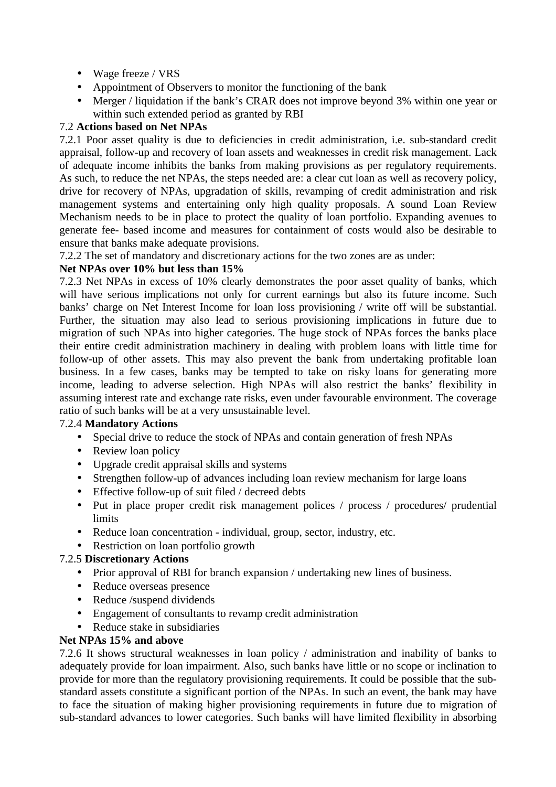- Wage freeze / VRS
- Appointment of Observers to monitor the functioning of the bank
- Merger / liquidation if the bank's CRAR does not improve beyond 3% within one year or within such extended period as granted by RBI

# 7.2 **Actions based on Net NPAs**

7.2.1 Poor asset quality is due to deficiencies in credit administration, i.e. sub-standard credit appraisal, follow-up and recovery of loan assets and weaknesses in credit risk management. Lack of adequate income inhibits the banks from making provisions as per regulatory requirements. As such, to reduce the net NPAs, the steps needed are: a clear cut loan as well as recovery policy, drive for recovery of NPAs, upgradation of skills, revamping of credit administration and risk management systems and entertaining only high quality proposals. A sound Loan Review Mechanism needs to be in place to protect the quality of loan portfolio. Expanding avenues to generate fee- based income and measures for containment of costs would also be desirable to ensure that banks make adequate provisions.

7.2.2 The set of mandatory and discretionary actions for the two zones are as under:

## **Net NPAs over 10% but less than 15%**

7.2.3 Net NPAs in excess of 10% clearly demonstrates the poor asset quality of banks, which will have serious implications not only for current earnings but also its future income. Such banks' charge on Net Interest Income for loan loss provisioning / write off will be substantial. Further, the situation may also lead to serious provisioning implications in future due to migration of such NPAs into higher categories. The huge stock of NPAs forces the banks place their entire credit administration machinery in dealing with problem loans with little time for follow-up of other assets. This may also prevent the bank from undertaking profitable loan business. In a few cases, banks may be tempted to take on risky loans for generating more income, leading to adverse selection. High NPAs will also restrict the banks' flexibility in assuming interest rate and exchange rate risks, even under favourable environment. The coverage ratio of such banks will be at a very unsustainable level.

## 7.2.4 **Mandatory Actions**

- Special drive to reduce the stock of NPAs and contain generation of fresh NPAs
- Review loan policy
- Upgrade credit appraisal skills and systems
- Strengthen follow-up of advances including loan review mechanism for large loans
- Effective follow-up of suit filed / decreed debts
- Put in place proper credit risk management polices / process / procedures/ prudential limits
- Reduce loan concentration individual, group, sector, industry, etc.
- Restriction on loan portfolio growth

## 7.2.5 **Discretionary Actions**

- Prior approval of RBI for branch expansion / undertaking new lines of business.
- Reduce overseas presence
- Reduce /suspend dividends
- Engagement of consultants to revamp credit administration
- Reduce stake in subsidiaries

#### **Net NPAs 15% and above**

7.2.6 It shows structural weaknesses in loan policy / administration and inability of banks to adequately provide for loan impairment. Also, such banks have little or no scope or inclination to provide for more than the regulatory provisioning requirements. It could be possible that the substandard assets constitute a significant portion of the NPAs. In such an event, the bank may have to face the situation of making higher provisioning requirements in future due to migration of sub-standard advances to lower categories. Such banks will have limited flexibility in absorbing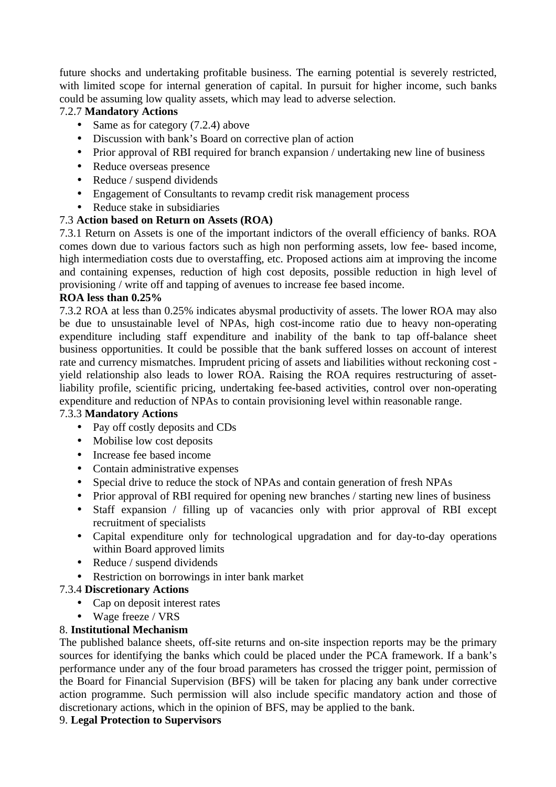future shocks and undertaking profitable business. The earning potential is severely restricted, with limited scope for internal generation of capital. In pursuit for higher income, such banks could be assuming low quality assets, which may lead to adverse selection.

# 7.2.7 **Mandatory Actions**

- Same as for category (7.2.4) above
- Discussion with bank's Board on corrective plan of action
- Prior approval of RBI required for branch expansion / undertaking new line of business
- Reduce overseas presence
- Reduce / suspend dividends
- Engagement of Consultants to revamp credit risk management process
- Reduce stake in subsidiaries

# 7.3 **Action based on Return on Assets (ROA)**

7.3.1 Return on Assets is one of the important indictors of the overall efficiency of banks. ROA comes down due to various factors such as high non performing assets, low fee- based income, high intermediation costs due to overstaffing, etc. Proposed actions aim at improving the income and containing expenses, reduction of high cost deposits, possible reduction in high level of provisioning / write off and tapping of avenues to increase fee based income.

### **ROA less than 0.25%**

7.3.2 ROA at less than 0.25% indicates abysmal productivity of assets. The lower ROA may also be due to unsustainable level of NPAs, high cost-income ratio due to heavy non-operating expenditure including staff expenditure and inability of the bank to tap off-balance sheet business opportunities. It could be possible that the bank suffered losses on account of interest rate and currency mismatches. Imprudent pricing of assets and liabilities without reckoning cost yield relationship also leads to lower ROA. Raising the ROA requires restructuring of assetliability profile, scientific pricing, undertaking fee-based activities, control over non-operating expenditure and reduction of NPAs to contain provisioning level within reasonable range.

## 7.3.3 **Mandatory Actions**

- Pay off costly deposits and CDs
- Mobilise low cost deposits
- Increase fee based income
- Contain administrative expenses
- Special drive to reduce the stock of NPAs and contain generation of fresh NPAs
- Prior approval of RBI required for opening new branches / starting new lines of business
- Staff expansion / filling up of vacancies only with prior approval of RBI except recruitment of specialists
- Capital expenditure only for technological upgradation and for day-to-day operations within Board approved limits
- Reduce / suspend dividends
- Restriction on borrowings in inter bank market
- 7.3.4 **Discretionary Actions**
	- Cap on deposit interest rates
	- Wage freeze / VRS

## 8. **Institutional Mechanism**

The published balance sheets, off-site returns and on-site inspection reports may be the primary sources for identifying the banks which could be placed under the PCA framework. If a bank's performance under any of the four broad parameters has crossed the trigger point, permission of the Board for Financial Supervision (BFS) will be taken for placing any bank under corrective action programme. Such permission will also include specific mandatory action and those of discretionary actions, which in the opinion of BFS, may be applied to the bank.

## 9. **Legal Protection to Supervisors**